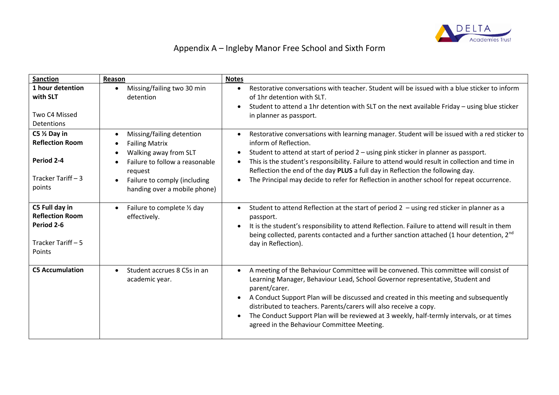

# Appendix A – Ingleby Manor Free School and Sixth Form

| <b>Sanction</b>                                                                                 | Reason                                                                                                                                                                                   | <b>Notes</b>                                                                                                                                                                                                                                                                                                                                                                                                                                                                                                                                       |
|-------------------------------------------------------------------------------------------------|------------------------------------------------------------------------------------------------------------------------------------------------------------------------------------------|----------------------------------------------------------------------------------------------------------------------------------------------------------------------------------------------------------------------------------------------------------------------------------------------------------------------------------------------------------------------------------------------------------------------------------------------------------------------------------------------------------------------------------------------------|
| 1 hour detention<br>with SLT<br>Two C4 Missed<br>Detentions                                     | Missing/failing two 30 min<br>detention                                                                                                                                                  | Restorative conversations with teacher. Student will be issued with a blue sticker to inform<br>$\bullet$<br>of 1hr detention with SLT.<br>Student to attend a 1hr detention with SLT on the next available Friday - using blue sticker<br>$\bullet$<br>in planner as passport.                                                                                                                                                                                                                                                                    |
| $C5 \frac{1}{2}$ Day in<br><b>Reflection Room</b><br>Period 2-4<br>Tracker Tariff - 3<br>points | Missing/failing detention<br><b>Failing Matrix</b><br>Walking away from SLT<br>Failure to follow a reasonable<br>request<br>Failure to comply (including<br>handing over a mobile phone) | Restorative conversations with learning manager. Student will be issued with a red sticker to<br>$\bullet$<br>inform of Reflection.<br>Student to attend at start of period 2 - using pink sticker in planner as passport.<br>$\bullet$<br>This is the student's responsibility. Failure to attend would result in collection and time in<br>$\bullet$<br>Reflection the end of the day PLUS a full day in Reflection the following day.<br>The Principal may decide to refer for Reflection in another school for repeat occurrence.<br>$\bullet$ |
| C5 Full day in<br><b>Reflection Room</b><br>Period 2-6<br>Tracker Tariff - 5<br>Points          | Failure to complete 1/2 day<br>effectively.                                                                                                                                              | Student to attend Reflection at the start of period $2 -$ using red sticker in planner as a<br>$\bullet$<br>passport.<br>It is the student's responsibility to attend Reflection. Failure to attend will result in them<br>$\bullet$<br>being collected, parents contacted and a further sanction attached (1 hour detention, 2nd<br>day in Reflection).                                                                                                                                                                                           |
| <b>C5 Accumulation</b>                                                                          | Student accrues 8 C5s in an<br>$\bullet$<br>academic year.                                                                                                                               | A meeting of the Behaviour Committee will be convened. This committee will consist of<br>$\bullet$<br>Learning Manager, Behaviour Lead, School Governor representative, Student and<br>parent/carer.<br>A Conduct Support Plan will be discussed and created in this meeting and subsequently<br>$\bullet$<br>distributed to teachers. Parents/carers will also receive a copy.<br>The Conduct Support Plan will be reviewed at 3 weekly, half-termly intervals, or at times<br>$\bullet$<br>agreed in the Behaviour Committee Meeting.            |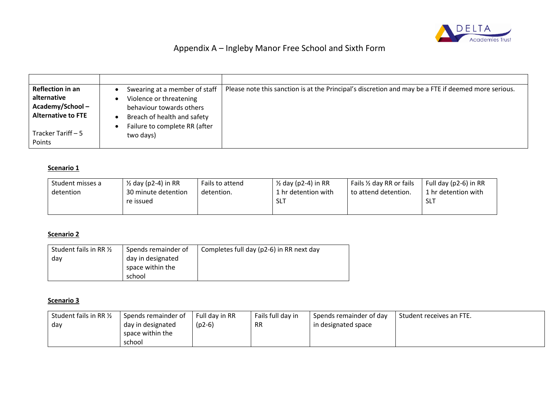

## Appendix A – Ingleby Manor Free School and Sixth Form

| <b>Reflection in an</b><br>alternative | Swearing at a member of staff<br>Violence or threatening     | Please note this sanction is at the Principal's discretion and may be a FTE if deemed more serious. |
|----------------------------------------|--------------------------------------------------------------|-----------------------------------------------------------------------------------------------------|
| Academy/School-                        | behaviour towards others                                     |                                                                                                     |
| <b>Alternative to FTE</b>              | Breach of health and safety<br>Failure to complete RR (after |                                                                                                     |
| l Tracker Tariff – 5<br>Points         | two days)                                                    |                                                                                                     |

#### **Scenario 1**

| Student misses a | ½ day (p2-4) in RR  | Fails to attend | $\frac{1}{2}$ day (p2-4) in RR | Fails 1/2 day RR or fails | Full day (p2-6) in RR |
|------------------|---------------------|-----------------|--------------------------------|---------------------------|-----------------------|
| detention        | 30 minute detention | detention.      | 1 hr detention with            | to attend detention.      | 1 hr detention with   |
|                  | re issued           |                 | -SLT                           |                           | -SLT                  |
|                  |                     |                 |                                |                           |                       |

#### **Scenario 2**

| Student fails in RR 1/2 | Spends remainder of | Completes full day (p2-6) in RR next day |
|-------------------------|---------------------|------------------------------------------|
| dav                     | day in designated   |                                          |
|                         | space within the    |                                          |
|                         | school              |                                          |

#### **Scenario 3**

| Student fails in RR 1/2 | Spends remainder of | Full day in RR | Fails full day in | I Spends remainder of day | Student receives an FTE. |
|-------------------------|---------------------|----------------|-------------------|---------------------------|--------------------------|
| l dav                   | day in designated   | $(p2-6)$       | <b>RR</b>         | in designated space       |                          |
|                         | space within the    |                |                   |                           |                          |
|                         | school              |                |                   |                           |                          |